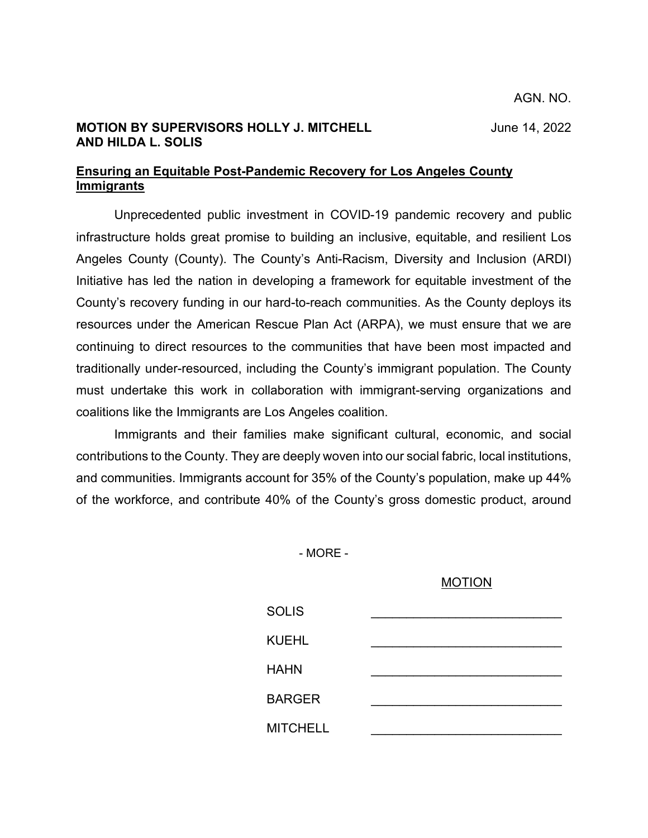## **MOTION BY SUPERVISORS HOLLY J. MITCHELL** June 14, 2022 **AND HILDA L. SOLIS**

## **Ensuring an Equitable Post-Pandemic Recovery for Los Angeles County Immigrants**

Unprecedented public investment in COVID-19 pandemic recovery and public infrastructure holds great promise to building an inclusive, equitable, and resilient Los Angeles County (County). The County's Anti-Racism, Diversity and Inclusion (ARDI) Initiative has led the nation in developing a framework for equitable investment of the County's recovery funding in our hard-to-reach communities. As the County deploys its resources under the American Rescue Plan Act (ARPA), we must ensure that we are continuing to direct resources to the communities that have been most impacted and traditionally under-resourced, including the County's immigrant population. The County must undertake this work in collaboration with immigrant-serving organizations and coalitions like the Immigrants are Los Angeles coalition.

Immigrants and their families make significant cultural, economic, and social contributions to the County. They are deeply woven into our social fabric, local institutions, and communities. Immigrants account for 35% of the County's population, make up 44% of the workforce, and contribute 40% of the County's gross domestic product, around

- MORE -

## MOTION

| <b>SOLIS</b>    |  |
|-----------------|--|
| <b>KUEHL</b>    |  |
| <b>HAHN</b>     |  |
| <b>BARGER</b>   |  |
| <b>MITCHELL</b> |  |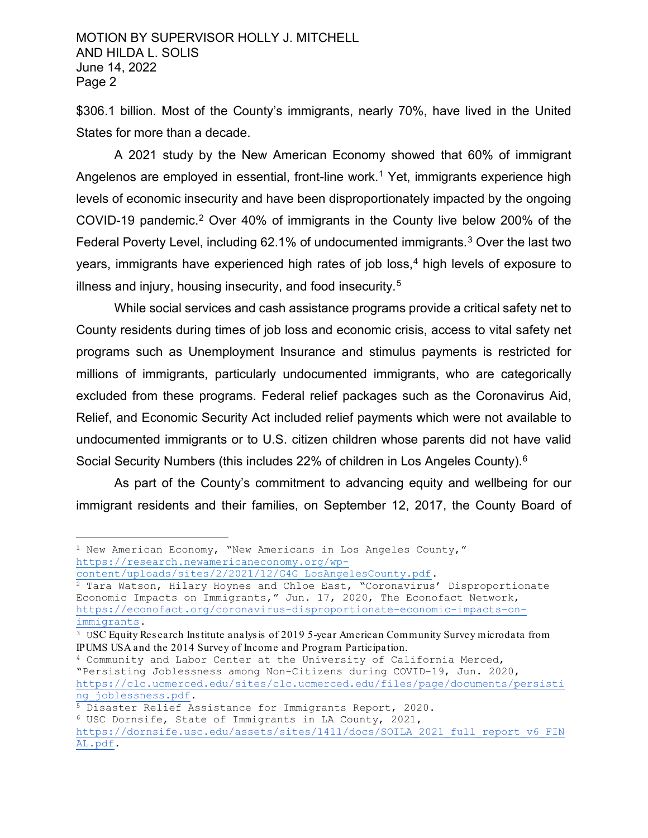\$306.1 billion. Most of the County's immigrants, nearly 70%, have lived in the United States for more than a decade.

A 2021 study by the New American Economy showed that 60% of immigrant Angelenos are employed in essential, front-line work.<sup>[1](#page-1-0)</sup> Yet, immigrants experience high levels of economic insecurity and have been disproportionately impacted by the ongoing COVID-19 pandemic.[2](#page-1-1) Over 40% of immigrants in the County live below 200% of the Federal Poverty Level, including 62.1% of undocumented immigrants.[3](#page-1-2) Over the last two years, immigrants have experienced high rates of job loss,<sup>[4](#page-1-3)</sup> high levels of exposure to illness and injury, housing insecurity, and food insecurity.[5](#page-1-4)

While social services and cash assistance programs provide a critical safety net to County residents during times of job loss and economic crisis, access to vital safety net programs such as Unemployment Insurance and stimulus payments is restricted for millions of immigrants, particularly undocumented immigrants, who are categorically excluded from these programs. Federal relief packages such as the Coronavirus Aid, Relief, and Economic Security Act included relief payments which were not available to undocumented immigrants or to U.S. citizen children whose parents did not have valid Social Security Numbers (this includes 22% of children in Los Angeles County).[6](#page-1-5)

As part of the County's commitment to advancing equity and wellbeing for our immigrant residents and their families, on September 12, 2017, the County Board of

<span id="page-1-0"></span><sup>&</sup>lt;sup>1</sup> New American Economy, "New Americans in Los Angeles County," https://research.newamericaneconomy.org/wp-<br>content/uploads/sites/2/2021/12/G4G LosAngelesCounty.pdf.

<span id="page-1-1"></span> $\frac{2}{3}$  Tara Watson, Hilary Hoynes and Chloe East, "Coronavirus' Disproportionate Economic Impacts on Immigrants," Jun. 17, 2020, The Econofact Network, [https://econofact.org/coronavirus-disproportionate-economic-impacts-on-](https://econofact.org/coronavirus-disproportionate-economic-impacts-on-immigrants)

<span id="page-1-2"></span><sup>&</sup>lt;sup>3</sup> USC Equity Research Institute analysis of 2019 5-year American Community Survey microdata from IPUMS USA and the 2014 Survey of Income and Program Participation.

<span id="page-1-3"></span><sup>4</sup> Community and Labor Center at the University of California Merced, "Persisting Joblessness among Non-Citizens during COVID-19, Jun. 2020, [https://clc.ucmerced.edu/sites/clc.ucmerced.edu/files/page/documents/persisti](https://clc.ucmerced.edu/sites/clc.ucmerced.edu/files/page/documents/persisting_joblessness.pdf)

<span id="page-1-4"></span><sup>&</sup>lt;sup>5</sup> Disaster Relief Assistance for Immigrants Report, 2020.<br><sup>6</sup> USC Dornsife, State of Immigrants in LA County, 2021,

<span id="page-1-5"></span>[https://dornsife.usc.edu/assets/sites/1411/docs/SOILA\\_2021\\_full\\_report\\_v6\\_FIN](https://dornsife.usc.edu/assets/sites/1411/docs/SOILA_2021_full_report_v6_FINAL.pdf) [AL.pdf.](https://dornsife.usc.edu/assets/sites/1411/docs/SOILA_2021_full_report_v6_FINAL.pdf)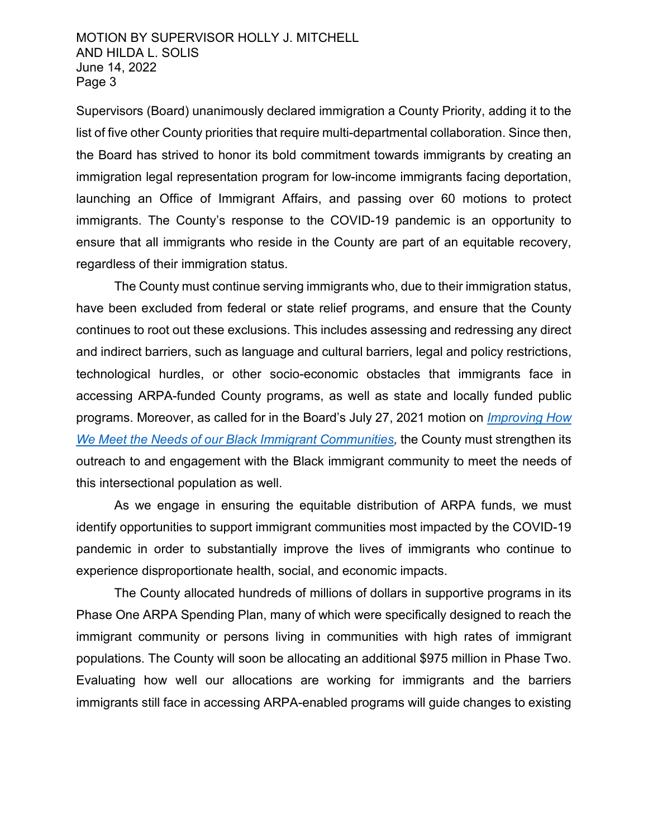Supervisors (Board) unanimously declared immigration a County Priority, adding it to the list of five other County priorities that require multi-departmental collaboration. Since then, the Board has strived to honor its bold commitment towards immigrants by creating an immigration legal representation program for low-income immigrants facing deportation, launching an Office of Immigrant Affairs, and passing over 60 motions to protect immigrants. The County's response to the COVID-19 pandemic is an opportunity to ensure that all immigrants who reside in the County are part of an equitable recovery, regardless of their immigration status.

The County must continue serving immigrants who, due to their immigration status, have been excluded from federal or state relief programs, and ensure that the County continues to root out these exclusions. This includes assessing and redressing any direct and indirect barriers, such as language and cultural barriers, legal and policy restrictions, technological hurdles, or other socio-economic obstacles that immigrants face in accessing ARPA-funded County programs, as well as state and locally funded public programs. Moreover, as called for in the Board's July 27, 2021 motion on *[Improving How](http://file.lacounty.gov/SDSInter/bos/supdocs/160227.pdf)  [We Meet the Needs of our Black Immigrant Communities,](http://file.lacounty.gov/SDSInter/bos/supdocs/160227.pdf)* the County must strengthen its outreach to and engagement with the Black immigrant community to meet the needs of this intersectional population as well.

As we engage in ensuring the equitable distribution of ARPA funds, we must identify opportunities to support immigrant communities most impacted by the COVID-19 pandemic in order to substantially improve the lives of immigrants who continue to experience disproportionate health, social, and economic impacts.

The County allocated hundreds of millions of dollars in supportive programs in its Phase One ARPA Spending Plan, many of which were specifically designed to reach the immigrant community or persons living in communities with high rates of immigrant populations. The County will soon be allocating an additional \$975 million in Phase Two. Evaluating how well our allocations are working for immigrants and the barriers immigrants still face in accessing ARPA-enabled programs will guide changes to existing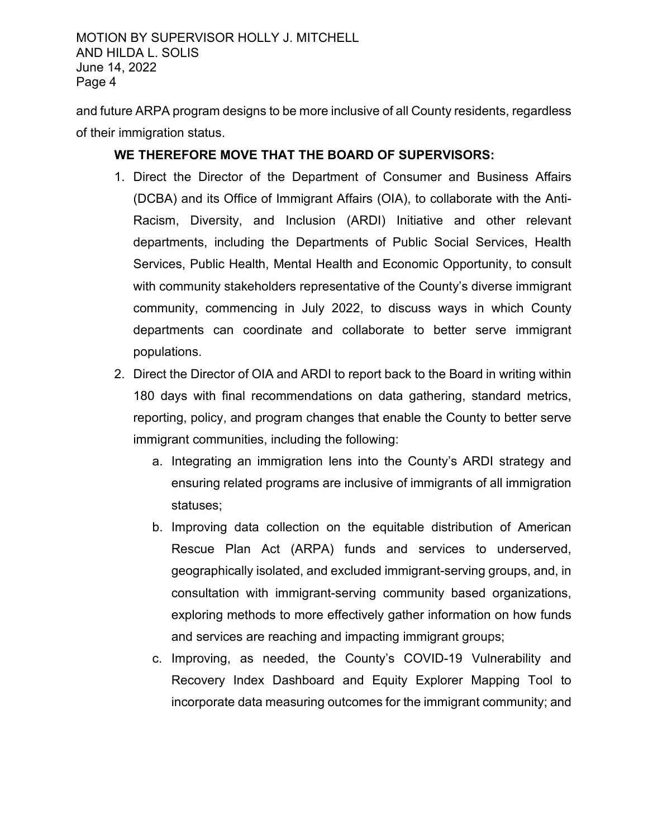MOTION BY SUPERVISOR HOLLY J. MITCHELL AND HILDA L. SOLIS June 14, 2022 Page 4

and future ARPA program designs to be more inclusive of all County residents, regardless of their immigration status.

## **WE THEREFORE MOVE THAT THE BOARD OF SUPERVISORS:**

- 1. Direct the Director of the Department of Consumer and Business Affairs (DCBA) and its Office of Immigrant Affairs (OIA), to collaborate with the Anti-Racism, Diversity, and Inclusion (ARDI) Initiative and other relevant departments, including the Departments of Public Social Services, Health Services, Public Health, Mental Health and Economic Opportunity, to consult with community stakeholders representative of the County's diverse immigrant community, commencing in July 2022, to discuss ways in which County departments can coordinate and collaborate to better serve immigrant populations.
- 2. Direct the Director of OIA and ARDI to report back to the Board in writing within 180 days with final recommendations on data gathering, standard metrics, reporting, policy, and program changes that enable the County to better serve immigrant communities, including the following:
	- a. Integrating an immigration lens into the County's ARDI strategy and ensuring related programs are inclusive of immigrants of all immigration statuses;
	- b. Improving data collection on the equitable distribution of American Rescue Plan Act (ARPA) funds and services to underserved, geographically isolated, and excluded immigrant-serving groups, and, in consultation with immigrant-serving community based organizations, exploring methods to more effectively gather information on how funds and services are reaching and impacting immigrant groups;
	- c. Improving, as needed, the County's COVID-19 Vulnerability and Recovery Index Dashboard and Equity Explorer Mapping Tool to incorporate data measuring outcomes for the immigrant community; and